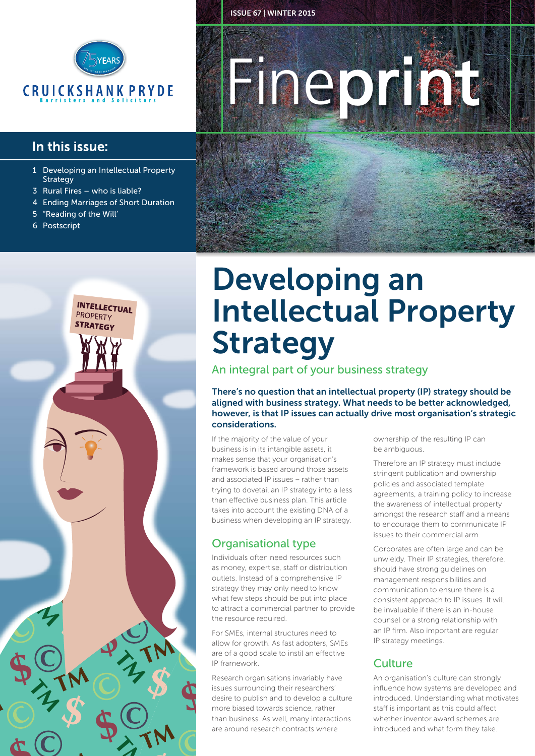

#### In this issue:

- 1 Developing an Intellectual Property **Strategy**
- 3 Rural Fires who is liable?
- 4 Ending Marriages of Short Duration
- "Reading of the Will'
- 6 Postscript



# **Fineprint**

ISSUE 67 | WINTER 2015

## Developing an Intellectual Property Strategy

An integral part of your business strategy

There's no question that an intellectual property (IP) strategy should be aligned with business strategy. What needs to be better acknowledged, however, is that IP issues can actually drive most organisation's strategic considerations.

If the majority of the value of your business is in its intangible assets, it makes sense that your organisation's framework is based around those assets and associated IP issues – rather than trying to dovetail an IP strategy into a less than effective business plan. This article takes into account the existing DNA of a business when developing an IP strategy.

#### Organisational type

Individuals often need resources such as money, expertise, staff or distribution outlets. Instead of a comprehensive IP strategy they may only need to know what few steps should be put into place to attract a commercial partner to provide the resource required.

For SMEs, internal structures need to allow for growth. As fast adopters, SMEs are of a good scale to instil an effective IP framework.

Research organisations invariably have issues surrounding their researchers' desire to publish and to develop a culture more biased towards science, rather than business. As well, many interactions are around research contracts where

ownership of the resulting IP can be ambiguous.

Therefore an IP strategy must include stringent publication and ownership policies and associated template agreements, a training policy to increase the awareness of intellectual property amongst the research staff and a means to encourage them to communicate IP issues to their commercial arm.

Corporates are often large and can be unwieldy. Their IP strategies, therefore, should have strong guidelines on management responsibilities and communication to ensure there is a consistent approach to IP issues. It will be invaluable if there is an in-house counsel or a strong relationship with an IP firm. Also important are regular IP strategy meetings.

#### **Culture**

An organisation's culture can strongly influence how systems are developed and introduced. Understanding what motivates staff is important as this could affect whether inventor award schemes are introduced and what form they take.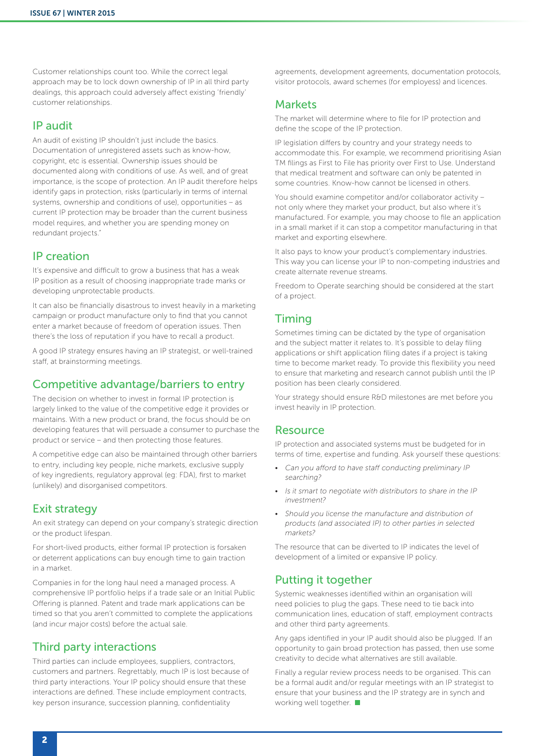Customer relationships count too. While the correct legal approach may be to lock down ownership of IP in all third party dealings, this approach could adversely affect existing 'friendly' customer relationships.

#### IP audit

An audit of existing IP shouldn't just include the basics. Documentation of unregistered assets such as know-how, copyright, etc is essential. Ownership issues should be documented along with conditions of use. As well, and of great importance, is the scope of protection. An IP audit therefore helps identify gaps in protection, risks (particularly in terms of internal systems, ownership and conditions of use), opportunities – as current IP protection may be broader than the current business model requires, and whether you are spending money on redundant projects."

#### IP creation

It's expensive and difficult to grow a business that has a weak IP position as a result of choosing inappropriate trade marks or developing unprotectable products.

It can also be financially disastrous to invest heavily in a marketing campaign or product manufacture only to find that you cannot enter a market because of freedom of operation issues. Then there's the loss of reputation if you have to recall a product.

A good IP strategy ensures having an IP strategist, or well-trained staff, at brainstorming meetings.

#### Competitive advantage/barriers to entry

The decision on whether to invest in formal IP protection is largely linked to the value of the competitive edge it provides or maintains. With a new product or brand, the focus should be on developing features that will persuade a consumer to purchase the product or service – and then protecting those features.

A competitive edge can also be maintained through other barriers to entry, including key people, niche markets, exclusive supply of key ingredients, regulatory approval (eg: FDA), first to market (unlikely) and disorganised competitors.

#### Exit strategy

An exit strategy can depend on your company's strategic direction or the product lifespan.

For short-lived products, either formal IP protection is forsaken or deterrent applications can buy enough time to gain traction in a market.

Companies in for the long haul need a managed process. A comprehensive IP portfolio helps if a trade sale or an Initial Public Offering is planned. Patent and trade mark applications can be timed so that you aren't committed to complete the applications (and incur major costs) before the actual sale.

#### Third party interactions

Third parties can include employees, suppliers, contractors, customers and partners. Regrettably, much IP is lost because of third party interactions. Your IP policy should ensure that these interactions are defined. These include employment contracts, key person insurance, succession planning, confidentiality

agreements, development agreements, documentation protocols, visitor protocols, award schemes (for employess) and licences.

#### **Markets**

The market will determine where to file for IP protection and define the scope of the IP protection.

IP legislation differs by country and your strategy needs to accommodate this. For example, we recommend prioritising Asian TM filings as First to File has priority over First to Use. Understand that medical treatment and software can only be patented in some countries. Know-how cannot be licensed in others.

You should examine competitor and/or collaborator activity – not only where they market your product, but also where it's manufactured. For example, you may choose to file an application in a small market if it can stop a competitor manufacturing in that market and exporting elsewhere.

It also pays to know your product's complementary industries. This way you can license your IP to non-competing industries and create alternate revenue streams.

Freedom to Operate searching should be considered at the start of a project.

#### Timing

Sometimes timing can be dictated by the type of organisation and the subject matter it relates to. It's possible to delay filing applications or shift application filing dates if a project is taking time to become market ready. To provide this flexibility you need to ensure that marketing and research cannot publish until the IP position has been clearly considered.

Your strategy should ensure R&D milestones are met before you invest heavily in IP protection.

#### Resource

IP protection and associated systems must be budgeted for in terms of time, expertise and funding. Ask yourself these questions:

- *Can you afford to have staff conducting preliminary IP searching?*
- *Is it smart to negotiate with distributors to share in the IP investment?*
- *Should you license the manufacture and distribution of products (and associated IP) to other parties in selected markets?*

The resource that can be diverted to IP indicates the level of development of a limited or expansive IP policy.

#### Putting it together

Systemic weaknesses identified within an organisation will need policies to plug the gaps. These need to tie back into communication lines, education of staff, employment contracts and other third party agreements.

Any gaps identified in your IP audit should also be plugged. If an opportunity to gain broad protection has passed, then use some creativity to decide what alternatives are still available.

Finally a regular review process needs to be organised. This can be a formal audit and/or regular meetings with an IP strategist to ensure that your business and the IP strategy are in synch and working well together.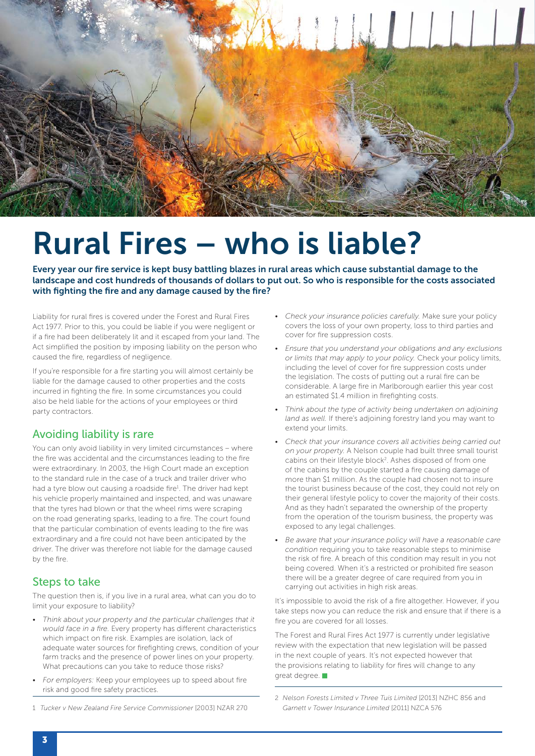

## Rural Fires – who is liable?

Every year our fire service is kept busy battling blazes in rural areas which cause substantial damage to the landscape and cost hundreds of thousands of dollars to put out. So who is responsible for the costs associated with fighting the fire and any damage caused by the fire?

Liability for rural fires is covered under the Forest and Rural Fires Act 1977. Prior to this, you could be liable if you were negligent or if a fire had been deliberately lit and it escaped from your land. The Act simplified the position by imposing liability on the person who caused the fire, regardless of negligence.

If you're responsible for a fire starting you will almost certainly be liable for the damage caused to other properties and the costs incurred in fighting the fire. In some circumstances you could also be held liable for the actions of your employees or third party contractors.

#### Avoiding liability is rare

You can only avoid liability in very limited circumstances – where the fire was accidental and the circumstances leading to the fire were extraordinary. In 2003, the High Court made an exception to the standard rule in the case of a truck and trailer driver who had a tyre blow out causing a roadside fire<sup>1</sup>. The driver had kept his vehicle properly maintained and inspected, and was unaware that the tyres had blown or that the wheel rims were scraping on the road generating sparks, leading to a fire. The court found that the particular combination of events leading to the fire was extraordinary and a fire could not have been anticipated by the driver. The driver was therefore not liable for the damage caused by the fire.

#### Steps to take

The question then is, if you live in a rural area, what can you do to limit your exposure to liability?

- *Think about your property and the particular challenges that it would face in a fire.* Every property has different characteristics which impact on fire risk. Examples are isolation, lack of adequate water sources for firefighting crews, condition of your farm tracks and the presence of power lines on your property. What precautions can you take to reduce those risks?
- *For employers:* Keep your employees up to speed about fire risk and good fire safety practices.
- *Check your insurance policies carefully.* Make sure your policy covers the loss of your own property, loss to third parties and cover for fire suppression costs.
- *Ensure that you understand your obligations and any exclusions or limits that may apply to your policy.* Check your policy limits, including the level of cover for fire suppression costs under the legislation. The costs of putting out a rural fire can be considerable. A large fire in Marlborough earlier this year cost an estimated \$1.4 million in firefighting costs.
- *Think about the type of activity being undertaken on adjoining land as well.* If there's adjoining forestry land you may want to extend your limits.
- *Check that your insurance covers all activities being carried out on your property.* A Nelson couple had built three small tourist cabins on their lifestyle block<sup>2</sup>. Ashes disposed of from one of the cabins by the couple started a fire causing damage of more than \$1 million. As the couple had chosen not to insure the tourist business because of the cost, they could not rely on their general lifestyle policy to cover the majority of their costs. And as they hadn't separated the ownership of the property from the operation of the tourism business, the property was exposed to any legal challenges.
- *Be aware that your insurance policy will have a reasonable care condition* requiring you to take reasonable steps to minimise the risk of fire. A breach of this condition may result in you not being covered. When it's a restricted or prohibited fire season there will be a greater degree of care required from you in carrying out activities in high risk areas.

It's impossible to avoid the risk of a fire altogether. However, if you take steps now you can reduce the risk and ensure that if there is a fire you are covered for all losses.

The Forest and Rural Fires Act 1977 is currently under legislative review with the expectation that new legislation will be passed in the next couple of years. It's not expected however that the provisions relating to liability for fires will change to any great degree.

- 1 *Tucker v New Zealand Fire Service Commissioner* [2003] NZAR 270
- 2 *Nelson Forests Limited v Three Tuis Limited* [2013] NZHC 856 and *Garnett v Tower Insurance Limited* [2011] NZCA 576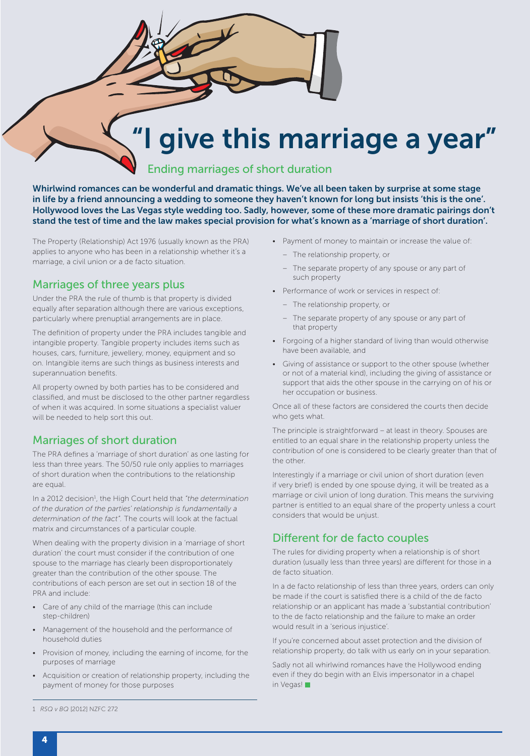### give this marriage a year"

#### Ending marriages of short duration

Whirlwind romances can be wonderful and dramatic things. We've all been taken by surprise at some stage in life by a friend announcing a wedding to someone they haven't known for long but insists 'this is the one'. Hollywood loves the Las Vegas style wedding too. Sadly, however, some of these more dramatic pairings don't stand the test of time and the law makes special provision for what's known as a 'marriage of short duration'.

The Property (Relationship) Act 1976 (usually known as the PRA) applies to anyone who has been in a relationship whether it's a marriage, a civil union or a de facto situation.

#### Marriages of three years plus

Under the PRA the rule of thumb is that property is divided equally after separation although there are various exceptions, particularly where prenuptial arrangements are in place.

The definition of property under the PRA includes tangible and intangible property. Tangible property includes items such as houses, cars, furniture, jewellery, money, equipment and so on. Intangible items are such things as business interests and superannuation benefits.

All property owned by both parties has to be considered and classified, and must be disclosed to the other partner regardless of when it was acquired. In some situations a specialist valuer will be needed to help sort this out.

#### Marriages of short duration

The PRA defines a 'marriage of short duration' as one lasting for less than three years. The 50/50 rule only applies to marriages of short duration when the contributions to the relationship are equal.

In a 2012 decision<sup>1</sup>, the High Court held that "the determination *of the duration of the parties' relationship is fundamentally a determination of the fact".* The courts will look at the factual matrix and circumstances of a particular couple.

When dealing with the property division in a 'marriage of short duration' the court must consider if the contribution of one spouse to the marriage has clearly been disproportionately greater than the contribution of the other spouse. The contributions of each person are set out in section 18 of the PRA and include:

- Care of any child of the marriage (this can include step-children)
- Management of the household and the performance of household duties
- Provision of money, including the earning of income, for the purposes of marriage
- Acquisition or creation of relationship property, including the payment of money for those purposes
- Payment of money to maintain or increase the value of:
	- − The relationship property, or
	- The separate property of any spouse or any part of such property
- Performance of work or services in respect of:
	- − The relationship property, or
	- The separate property of any spouse or any part of that property
- Forgoing of a higher standard of living than would otherwise have been available, and
- Giving of assistance or support to the other spouse (whether or not of a material kind), including the giving of assistance or support that aids the other spouse in the carrying on of his or her occupation or business.

Once all of these factors are considered the courts then decide who gets what.

The principle is straightforward – at least in theory. Spouses are entitled to an equal share in the relationship property unless the contribution of one is considered to be clearly greater than that of the other.

Interestingly if a marriage or civil union of short duration (even if very brief) is ended by one spouse dying, it will be treated as a marriage or civil union of long duration. This means the surviving partner is entitled to an equal share of the property unless a court considers that would be unjust.

#### Different for de facto couples

The rules for dividing property when a relationship is of short duration (usually less than three years) are different for those in a de facto situation.

In a de facto relationship of less than three years, orders can only be made if the court is satisfied there is a child of the de facto relationship or an applicant has made a 'substantial contribution' to the de facto relationship and the failure to make an order would result in a 'serious injustice'.

If you're concerned about asset protection and the division of relationship property, do talk with us early on in your separation.

Sadly not all whirlwind romances have the Hollywood ending even if they do begin with an Elvis impersonator in a chapel in Vegas!

1 *RSQ v BQ* [2012] NZFC 272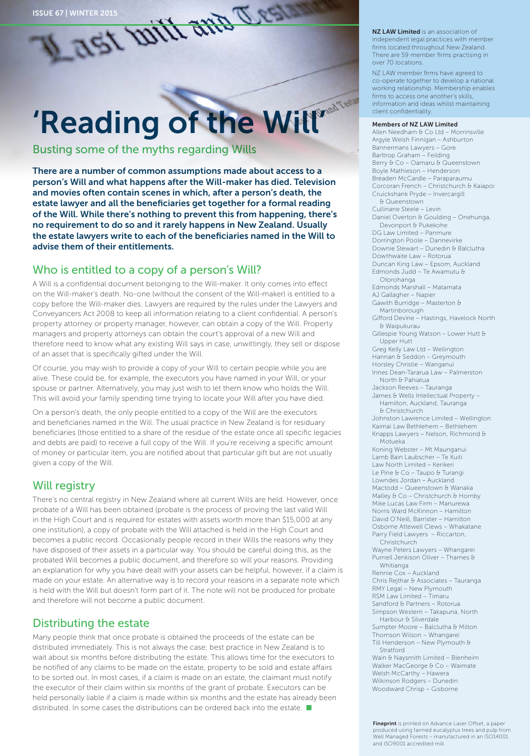# 'Reading of the Will'

Busting some of the myths regarding Wills

There are a number of common assumptions made about access to a person's Will and what happens after the Will-maker has died. Television and movies often contain scenes in which, after a person's death, the estate lawyer and all the beneficiaries get together for a formal reading of the Will. While there's nothing to prevent this from happening, there's no requirement to do so and it rarely happens in New Zealand. Usually the estate lawyers write to each of the beneficiaries named in the Will to advise them of their entitlements.

#### Who is entitled to a copy of a person's Will?

A Will is a confidential document belonging to the Will-maker. It only comes into effect on the Will-maker's death. No-one (without the consent of the Will-maker) is entitled to a copy before the Will-maker dies. Lawyers are required by the rules under the Lawyers and Conveyancers Act 2008 to keep all information relating to a client confidential. A person's property attorney or property manager, however, can obtain a copy of the Will. Property managers and property attorneys can obtain the court's approval of a new Will and therefore need to know what any existing Will says in case, unwittingly, they sell or dispose of an asset that is specifically gifted under the Will.

Of course, you may wish to provide a copy of your Will to certain people while you are alive. These could be, for example, the executors you have named in your Will, or your spouse or partner. Alternatively, you may just wish to let them know who holds the Will. This will avoid your family spending time trying to locate your Will after you have died.

On a person's death, the only people entitled to a copy of the Will are the executors and beneficiaries named in the Will. The usual practice in New Zealand is for residuary beneficiaries (those entitled to a share of the residue of the estate once all specific legacies and debts are paid) to receive a full copy of the Will. If you're receiving a specific amount of money or particular item, you are notified about that particular gift but are not usually given a copy of the Will.

#### Will registry

There's no central registry in New Zealand where all current Wills are held. However, once probate of a Will has been obtained (probate is the process of proving the last valid Will in the High Court and is required for estates with assets worth more than \$15,000 at any one institution), a copy of probate with the Will attached is held in the High Court and becomes a public record. Occasionally people record in their Wills the reasons why they have disposed of their assets in a particular way. You should be careful doing this, as the probated Will becomes a public document, and therefore so will your reasons. Providing an explanation for why you have dealt with your assets can be helpful, however, if a claim is made on your estate. An alternative way is to record your reasons in a separate note which is held with the Will but doesn't form part of it. The note will not be produced for probate and therefore will not become a public document.

#### Distributing the estate

Many people think that once probate is obtained the proceeds of the estate can be distributed immediately. This is not always the case; best practice in New Zealand is to wait about six months before distributing the estate. This allows time for the executors to be notified of any claims to be made on the estate, property to be sold and estate affairs to be sorted out. In most cases, if a claim is made on an estate, the claimant must notify the executor of their claim within six months of the grant of probate. Executors can be held personally liable if a claim is made within six months and the estate has already been distributed. In some cases the distributions can be ordered back into the estate.  $\blacksquare$ 

NZ LAW Limited is an association of independent legal practices with member firms located throughout New Zealand. There are 59 member firms practising in over 70 locations.

NZ LAW member firms have agreed to co-operate together to develop a national<br>working relationship. Membership enables firms to access one another's skills, information and ideas whilst maintaining client confidentiality.

#### Members of NZ LAW Limited

Allen Needham & Co Ltd - Morrinsville Argyle Welsh Finnigan – Ashburton Bannermans Lawyers – Gore Barltrop Graham – Feilding Berry & Co - Oamaru & Queenstown Boyle Mathieson – Henderson Breaden McCardle – Paraparaumu Corcoran French – Christchurch & Kaiapoi Cruickshank Pryde – Invercargill & Queenstown Cullinane Steele – Levin Daniel Overton & Goulding – Onehunga, Devonport & Pukekohe DG Law Limited – Panmure Dorrington Poole – Dannevirke Downie Stewart – Dunedin & Balclutha Dowthwaite Law – Rotorua Duncan King Law – Epsom, Aucklan d Edmonds Judd – Te Awamutu & Otorohanga Edmonds Marshall – Matamata AJ Gallagher – Napier Gawith Burridge – Masterton & Martinborough Gifford Devine – Hastings, Havelock North & Waipukurau Gillespie Young Watson – Lower Hutt & Upper Hutt Greg Kelly Law Ltd – Wellington Hannan & Seddon – Greymouth Horsley Christie – Wanganui Innes Dean-Tararua Law – Palmerston North & Pahiatua Jackson Reeves – Tauranga James & Wells Intellectual Property -Hamilton, Auckland, Tauranga & Christchurch Johnston Lawrence Limited – Wellington Kaimai Law Bethlehem – Bethlehem Knapps Lawyers – Nelson, Richmond & Motueka Koning Webster – Mt Maunganui Lamb Bain Laubscher – Te Kuiti Law North Limited – Kerikeri Le Pine & Co – Taupo & Turangi Lowndes Jordan – Auckland Mactodd – Queenstown & Wanaka Malley & Co - Christchurch & Hornby Mike Lucas Law Firm – Manurewa Norris Ward McKinnon – Hamilton David O'Neill, Barrister – Hamilton Osborne Attewell Clews – Whakatane Parry Field Lawyers – Riccarton, Christchurch Wayne Peters Lawyers – Whangarei Purnell Jenkison Oliver – Thames & Whitianga Rennie Cox – Auckland Chris Rejthar & Associates – Tauranga RMY Legal – New Plymouth RSM Law Limited – Timaru Sandford & Partners - Rotorua Simpson Western – Takapuna, North Harbour & Silverdale Sumpter Moore - Balclutha & Milton Thomson Wilson – Whangarei Till Henderson – New Plymouth & Stratford Wain & Naysmith Limited – Blenheim Walker MacGeorge & Co - Waimate Welsh McCarthy – Hawera Wilkinson Rodgers – Dunedin Woodward Chrisp – Gisborne

Fineprint is printed on Advance Laser Offset, a paper produced using farmed eucalyptus trees and pulp from Well Managed Forests – manufactured in an ISO14001 and ISO9001 accredited mill.